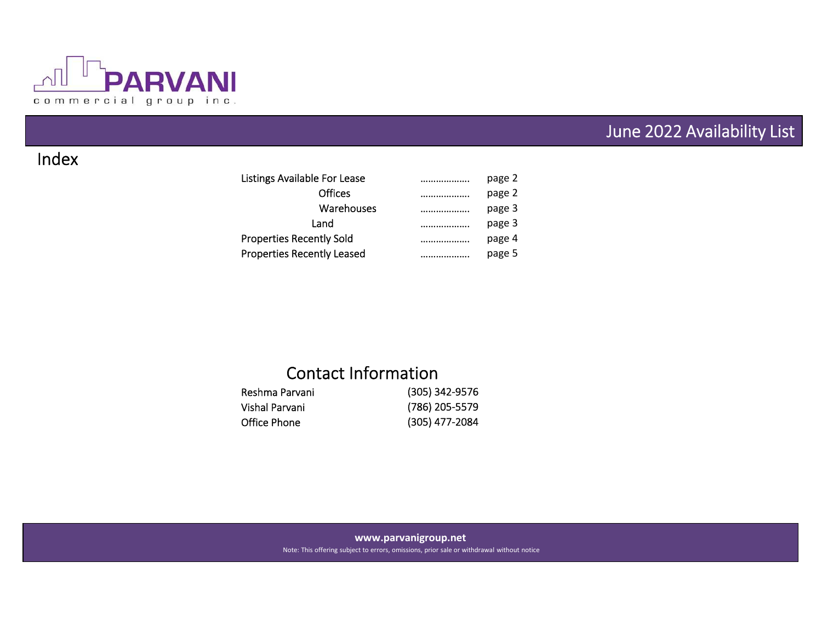

# June 2022 Availability List

## Index

| Listings Available For Lease      | page 2     |
|-----------------------------------|------------|
| <b>Offices</b>                    | page 2     |
| Warehouses                        | <br>page 3 |
| Land                              | page 3     |
| <b>Properties Recently Sold</b>   | page 4     |
| <b>Properties Recently Leased</b> | page 5     |

# Contact Information

| Reshma Parvani | (305) 342-9576 |
|----------------|----------------|
| Vishal Parvani | (786) 205-5579 |
| Office Phone   | (305) 477-2084 |

### **www.parvanigroup.net**

Note: This offering subject to errors, omissions, prior sale or withdrawal without notice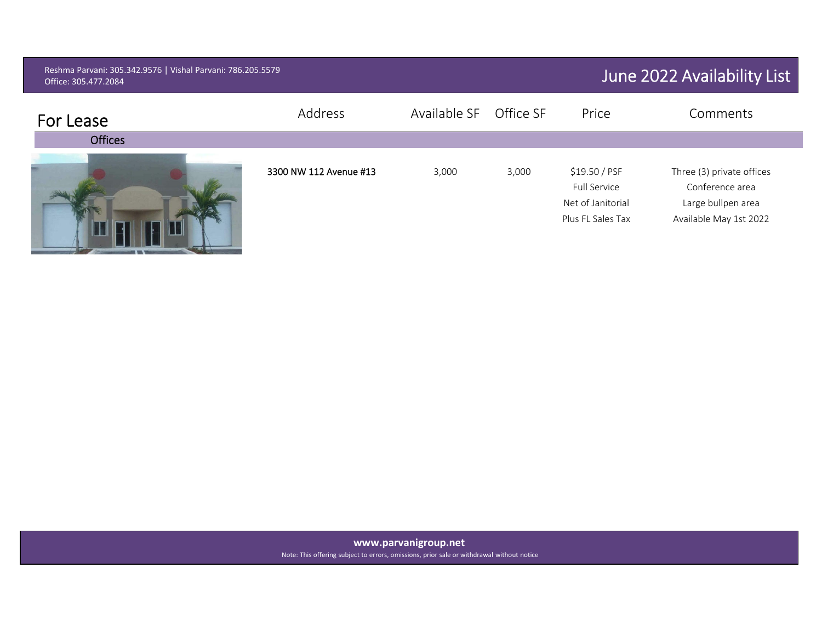| Reshma Parvani: 305.342.9576   Vishal Parvani: 786.205.5579<br>Office: 305.477.2084 |                        |              |           |                                                                         | June 2022 Availability List                                                                  |
|-------------------------------------------------------------------------------------|------------------------|--------------|-----------|-------------------------------------------------------------------------|----------------------------------------------------------------------------------------------|
| For Lease                                                                           | Address                | Available SF | Office SF | Price                                                                   | Comments                                                                                     |
| <b>Offices</b>                                                                      |                        |              |           |                                                                         |                                                                                              |
|                                                                                     | 3300 NW 112 Avenue #13 | 3,000        | 3,000     | \$19.50 / PSF<br>Full Service<br>Net of Janitorial<br>Plus FL Sales Tax | Three (3) private offices<br>Conference area<br>Large bullpen area<br>Available May 1st 2022 |

**www.parvanigroup.net**

Note: This offering subject to errors, omissions, prior sale or withdrawal without notice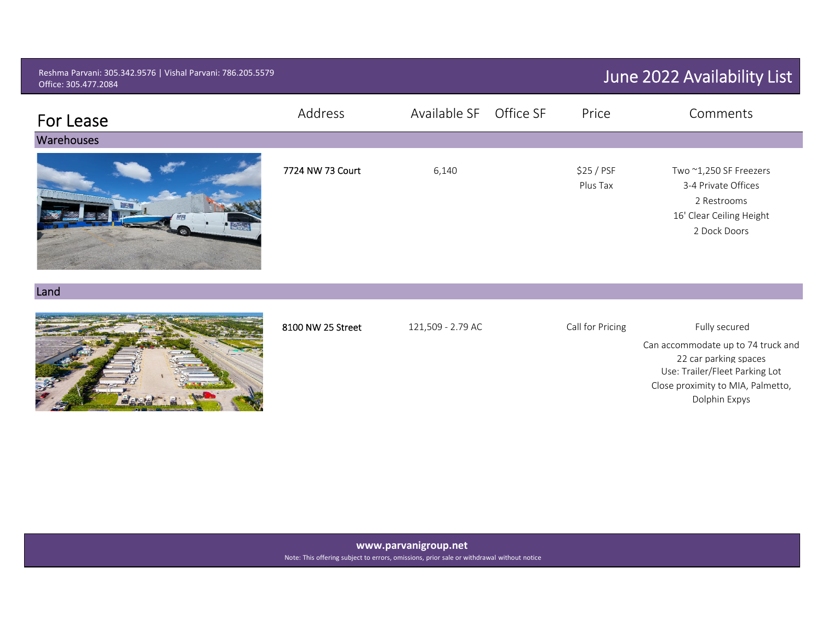| Reshma Parvani: 305.342.9576   Vishal Parvani: 786.205.5579<br>Office: 305.477.2084 |                   |                           |                        | June 2022 Availability List                                                                                                                                          |
|-------------------------------------------------------------------------------------|-------------------|---------------------------|------------------------|----------------------------------------------------------------------------------------------------------------------------------------------------------------------|
| For Lease                                                                           | Address           | Available SF<br>Office SF | Price                  | Comments                                                                                                                                                             |
| Warehouses                                                                          |                   |                           |                        |                                                                                                                                                                      |
| <b>COLLEGE</b><br><b>Figure</b>                                                     | 7724 NW 73 Court  | 6,140                     | \$25 / PSF<br>Plus Tax | Two ~1,250 SF Freezers<br>3-4 Private Offices<br>2 Restrooms<br>16' Clear Ceiling Height<br>2 Dock Doors                                                             |
| Land                                                                                |                   |                           |                        |                                                                                                                                                                      |
|                                                                                     | 8100 NW 25 Street | 121,509 - 2.79 AC         | Call for Pricing       | Fully secured<br>Can accommodate up to 74 truck and<br>22 car parking spaces<br>Use: Trailer/Fleet Parking Lot<br>Close proximity to MIA, Palmetto,<br>Dolphin Expys |

**www.parvanigroup.net** Note: This offering subject to errors, omissions, prior sale or withdrawal without notice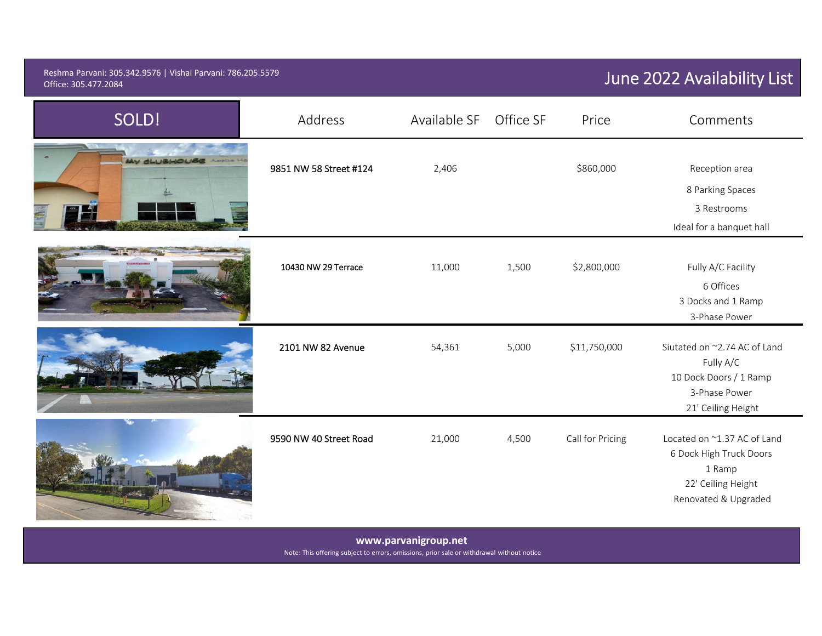#### Reshma Parvani: 305.342.9576 | Vishal Parvani: 786.205.5579 **Office: 305.477.2084** Office: 305.477.2084 Office: 305.477.2084 305.477.2084

| SOLD!                   | Address                | Available SF | Office SF | Price            | Comments                                                                                                       |
|-------------------------|------------------------|--------------|-----------|------------------|----------------------------------------------------------------------------------------------------------------|
| MY GLUBHOUSE<br>Aceba H | 9851 NW 58 Street #124 | 2,406        |           | \$860,000        | Reception area<br>8 Parking Spaces<br>3 Restrooms<br>Ideal for a banquet hall                                  |
|                         | 10430 NW 29 Terrace    | 11,000       | 1,500     | \$2,800,000      | Fully A/C Facility<br>6 Offices<br>3 Docks and 1 Ramp<br>3-Phase Power                                         |
|                         | 2101 NW 82 Avenue      | 54,361       | 5,000     | \$11,750,000     | Siutated on ~2.74 AC of Land<br>Fully A/C<br>10 Dock Doors / 1 Ramp<br>3-Phase Power<br>21' Ceiling Height     |
|                         | 9590 NW 40 Street Road | 21,000       | 4,500     | Call for Pricing | Located on ~1.37 AC of Land<br>6 Dock High Truck Doors<br>1 Ramp<br>22' Ceiling Height<br>Renovated & Upgraded |

**www.parvanigroup.net**

Note: This offering subject to errors, omissions, prior sale or withdrawal without notice